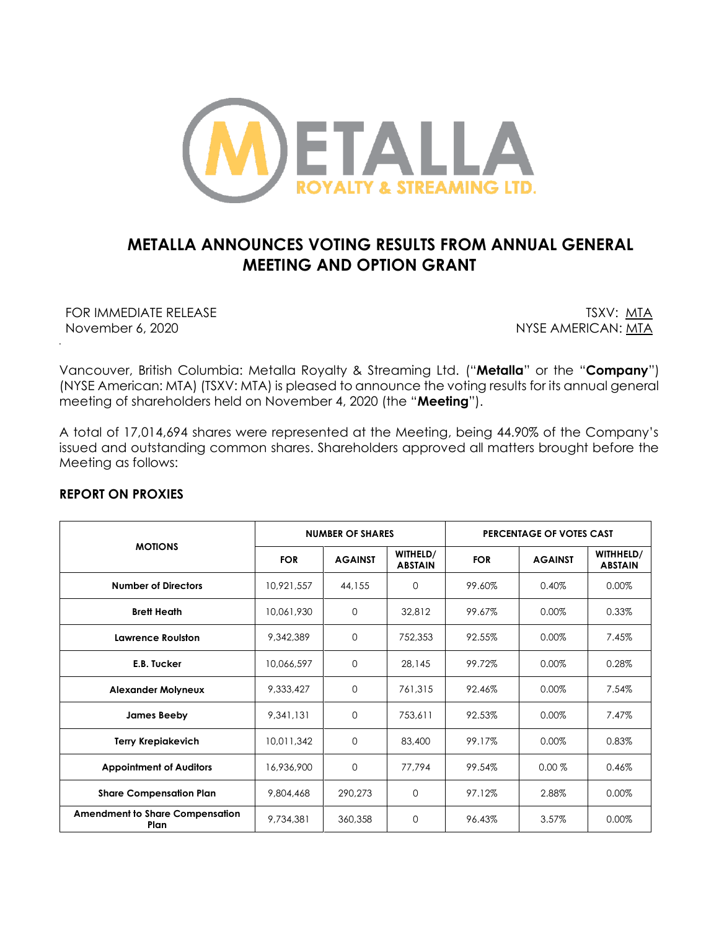

# **METALLA ANNOUNCES VOTING RESULTS FROM ANNUAL GENERAL MEETING AND OPTION GRANT**

FOR IMMEDIATE RELEASE THE SECOND SERVER TO THE TOP TO THE TOP TO THE TOP TO THE TOP TO THE TOP TO THE TOP TO THE TOP THAT THE TOP THAT THE TOP THAT THE TOP THAT THE TOP THAT THE TOP THAT THE TOP THAT THE TOP THAT THE TOP T November 6, 2020 November 6, 2020

*.*

Vancouver, British Columbia: Metalla Royalty & Streaming Ltd. ("**Metalla**" or the "**Company**") (NYSE American: MTA) (TSXV: MTA) is pleased to announce the voting results for its annual general meeting of shareholders held on November 4, 2020 (the "**Meeting**").

A total of 17,014,694 shares were represented at the Meeting, being 44.90% of the Company's issued and outstanding common shares. Shareholders approved all matters brought before the Meeting as follows:

## **REPORT ON PROXIES**

| <b>MOTIONS</b>                                 | <b>NUMBER OF SHARES</b> |                |                            | PERCENTAGE OF VOTES CAST |                |                             |
|------------------------------------------------|-------------------------|----------------|----------------------------|--------------------------|----------------|-----------------------------|
|                                                | <b>FOR</b>              | <b>AGAINST</b> | WITHELD/<br><b>ABSTAIN</b> | <b>FOR</b>               | <b>AGAINST</b> | WITHHELD/<br><b>ABSTAIN</b> |
| <b>Number of Directors</b>                     | 10,921,557              | 44,155         | 0                          | 99.60%                   | 0.40%          | 0.00%                       |
| <b>Brett Heath</b>                             | 10,061,930              | 0              | 32,812                     | 99.67%                   | 0.00%          | 0.33%                       |
| <b>Lawrence Roulston</b>                       | 9,342,389               | $\mathbf{O}$   | 752,353                    | 92.55%                   | 0.00%          | 7.45%                       |
| E.B. Tucker                                    | 10,066,597              | $\mathbf 0$    | 28,145                     | 99.72%                   | 0.00%          | 0.28%                       |
| <b>Alexander Molyneux</b>                      | 9,333,427               | $\mathbf{O}$   | 761,315                    | 92.46%                   | 0.00%          | 7.54%                       |
| James Beeby                                    | 9,341,131               | $\mathbf{O}$   | 753,611                    | 92.53%                   | 0.00%          | 7.47%                       |
| <b>Terry Krepiakevich</b>                      | 10,011,342              | $\Omega$       | 83,400                     | 99.17%                   | 0.00%          | 0.83%                       |
| <b>Appointment of Auditors</b>                 | 16,936,900              | 0              | 77,794                     | 99.54%                   | $0.00\%$       | 0.46%                       |
| <b>Share Compensation Plan</b>                 | 9,804,468               | 290,273        | $\Omega$                   | 97.12%                   | 2.88%          | 0.00%                       |
| <b>Amendment to Share Compensation</b><br>Plan | 9,734,381               | 360,358        | $\Omega$                   | 96.43%                   | 3.57%          | 0.00%                       |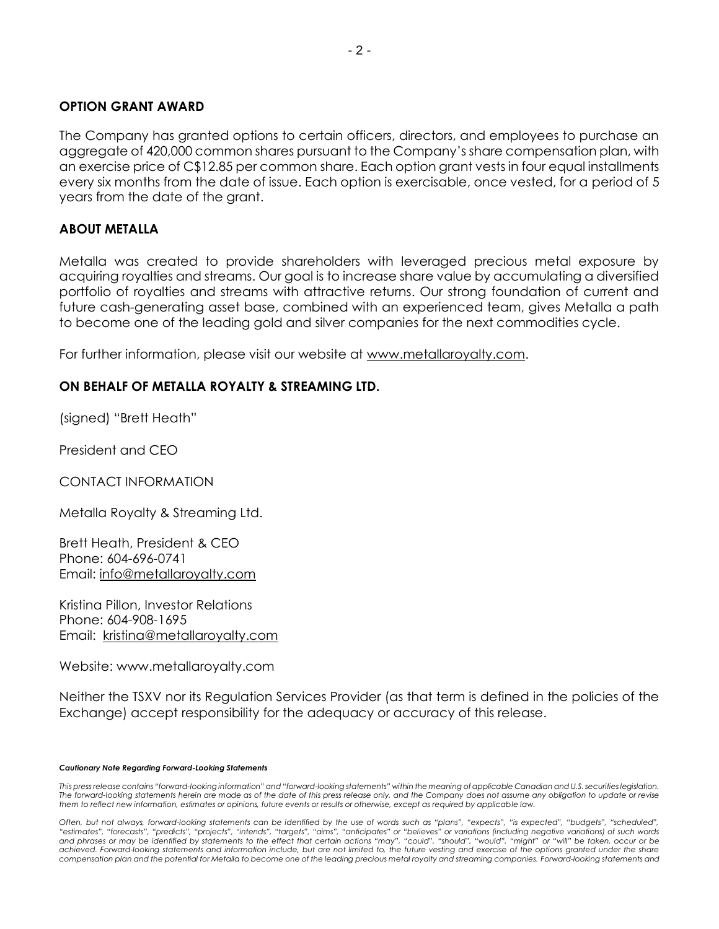### **OPTION GRANT AWARD**

The Company has granted options to certain officers, directors, and employees to purchase an aggregate of 420,000 common shares pursuant to the Company's share compensation plan, with an exercise price of C\$12.85 per common share. Each option grant vests in four equal installments every six months from the date of issue. Each option is exercisable, once vested, for a period of 5 years from the date of the grant.

### **ABOUT METALLA**

Metalla was created to provide shareholders with leveraged precious metal exposure by acquiring royalties and streams. Our goal is to increase share value by accumulating a diversified portfolio of royalties and streams with attractive returns. Our strong foundation of current and future cash-generating asset base, combined with an experienced team, gives Metalla a path to become one of the leading gold and silver companies for the next commodities cycle.

For further information, please visit our website at [www.metallaroyalty.com.](http://www.metallaroyalty.com/)

# **ON BEHALF OF METALLA ROYALTY & STREAMING LTD.**

(signed) "Brett Heath"

President and CEO

CONTACT INFORMATION

Metalla Royalty & Streaming Ltd.

Brett Heath, President & CEO Phone: [604-696-0741](tel:604-696-0741) Email: [info@metallaroyalty.com](mailto:info@metallaroyalty.com)

Kristina Pillon, Investor Relations Phone: 604-908-1695 Email: [kristina@metallaroyalty.com](mailto:kristina@metallaroyalty.com)

Website: [www.metallaroyalty.com](http://www.metallaroyalty.com/)

Neither the TSXV nor its Regulation Services Provider (as that term is defined in the policies of the Exchange) accept responsibility for the adequacy or accuracy of this release.

#### *Cautionary Note Regarding Forward-Looking Statements*

*This press release contains "forward-looking information" and "forward-looking statements" within the meaning of applicable Canadian and U.S. securities legislation.*  The forward-looking statements herein are made as of the date of this press release only, and the Company does not assume any obligation to update or revise *them to reflect new information, estimates or opinions, future events or results or otherwise, except as required by applicable law.*

*Often, but not always, forward-looking statements can be identified by the use of words such as "plans", "expects", "is expected", "budgets", "scheduled",*  "estimates", "forecasts", "predicts", "projects", "intends", "targets", "aims", "anticipates" or "believes" or variations (including negative variations) of such words<br>and phrases or may be identified by statements to the *compensation plan and the potential for Metalla to become one of the leading precious metal royalty and streaming companies. Forward-looking statements and*